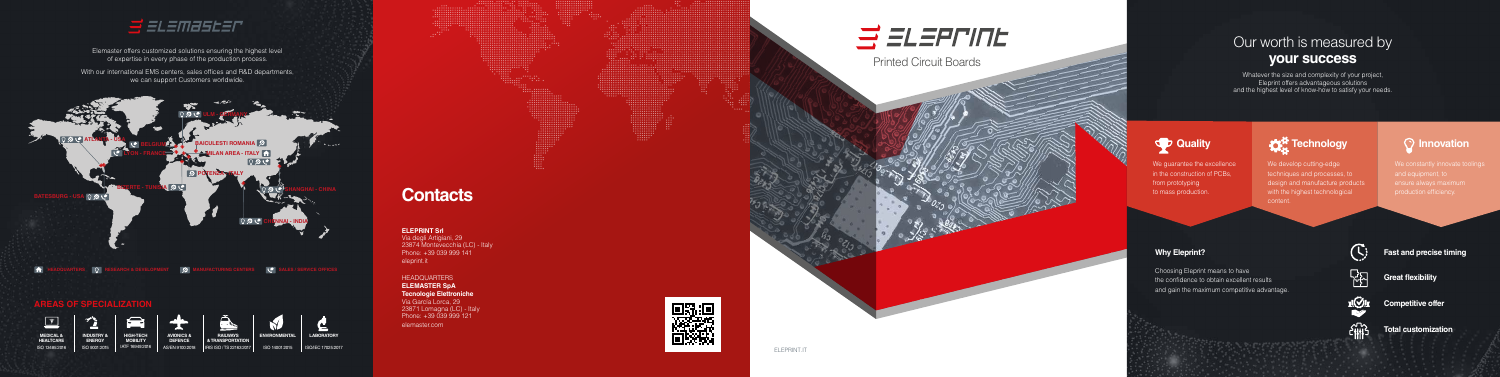# **Contacts**

## Our worth is measured by **your success**

Whatever the size and complexity of your project, Eleprint offers advantageous solutions and the highest level of know-how to satisfy your needs.

We constantly innovate toolings and equipment, to

the confidence to obtain excellent results

and gain the maximum competitive advantage.

ili bayyan masu da wasan ƙ



## **Fast and precise timing**



**Great flexibility** 



 $\epsilon_{\text{HB}}$ 

**Competitive offer** 

We develop cutting-edge techniques and processes, to design and manufacture products with the highest technological content.

**Total customization**



With our international EMS centers, sales offices and R&D departments, we can support Customers worldwide.



#### **ELEPRINT Srl** Via degli Artigiani, 29 23874 Montevecchia (LC) - Italy Phone: +39 039 999 141 eleprint.it

#### HEADQUARTERS **ELEMASTER SpA**

**Tecnologie Elettroniche** Via García Lorca, 29 23871 Lomagna (LC) - Italy Phone: +39 039 999 121 elemaster.com



Elemaster offers customized solutions ensuring the highest level of expertise in every phase of the production process.





**MEDICAL & HEALTCARE**

ISO 13485:2016



**HIGH-TECH MOBILITY** IATF 16949:2016

**AVIONICS & DEFENCE**



AS/EN 9100:2018 IRIS ISO / TS 22163:2017 **RAILWAYS & TRANSPORTATION**

ISO 14001:2015 ISO/IEC 17025:2017

### **AREAS OF SPECIALIZATION**



**LABORATORY**